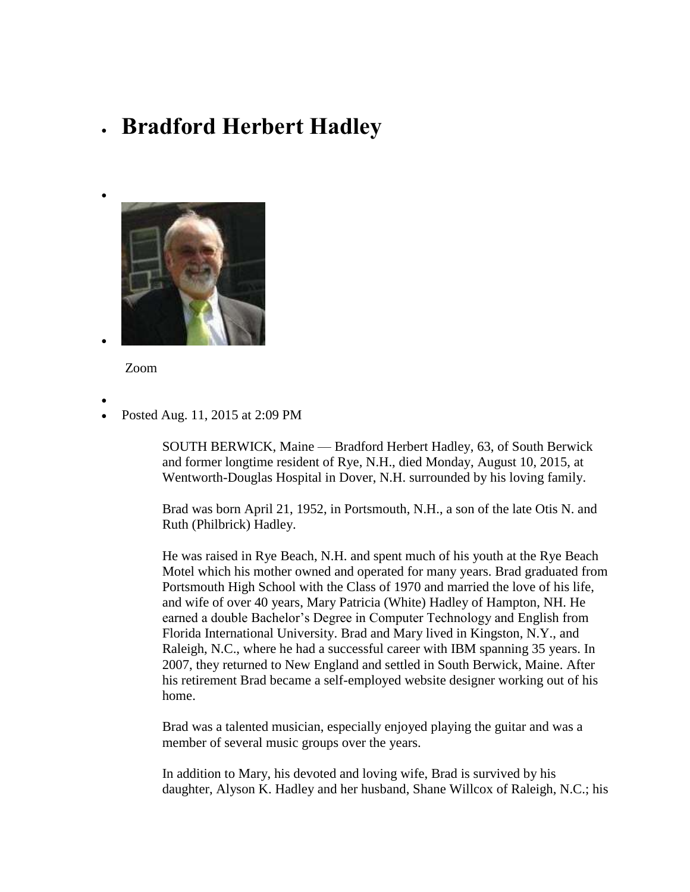## **Bradford Herbert Hadley**



Zoom

- $\bullet$
- Posted Aug. 11, 2015 at 2:09 PM

SOUTH BERWICK, Maine — Bradford Herbert Hadley, 63, of South Berwick and former longtime resident of Rye, N.H., died Monday, August 10, 2015, at Wentworth-Douglas Hospital in Dover, N.H. surrounded by his loving family.

Brad was born April 21, 1952, in Portsmouth, N.H., a son of the late Otis N. and Ruth (Philbrick) Hadley.

He was raised in Rye Beach, N.H. and spent much of his youth at the Rye Beach Motel which his mother owned and operated for many years. Brad graduated from Portsmouth High School with the Class of 1970 and married the love of his life, and wife of over 40 years, Mary Patricia (White) Hadley of Hampton, NH. He earned a double Bachelor's Degree in Computer Technology and English from Florida International University. Brad and Mary lived in Kingston, N.Y., and Raleigh, N.C., where he had a successful career with IBM spanning 35 years. In 2007, they returned to New England and settled in South Berwick, Maine. After his retirement Brad became a self-employed website designer working out of his home.

Brad was a talented musician, especially enjoyed playing the guitar and was a member of several music groups over the years.

In addition to Mary, his devoted and loving wife, Brad is survived by his daughter, Alyson K. Hadley and her husband, Shane Willcox of Raleigh, N.C.; his